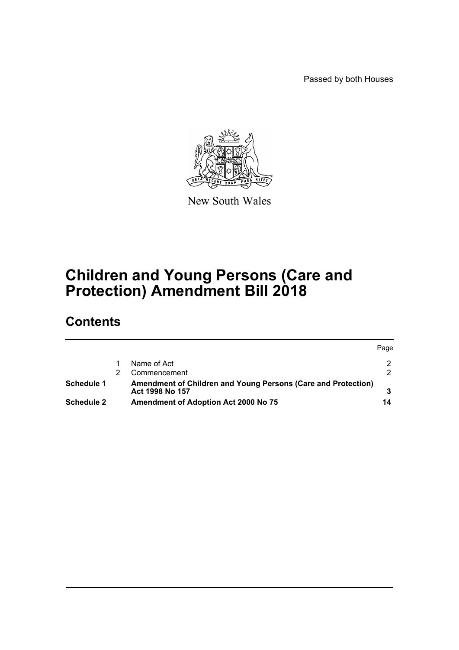Passed by both Houses

 $P_2$ 



New South Wales

# **Children and Young Persons (Care and Protection) Amendment Bill 2018**

# **Contents**

|                   |                                                                                  | <b>Page</b> |
|-------------------|----------------------------------------------------------------------------------|-------------|
|                   | Name of Act                                                                      |             |
|                   | Commencement                                                                     |             |
| Schedule 1        | Amendment of Children and Young Persons (Care and Protection)<br>Act 1998 No 157 |             |
| <b>Schedule 2</b> | <b>Amendment of Adoption Act 2000 No 75</b>                                      | 14          |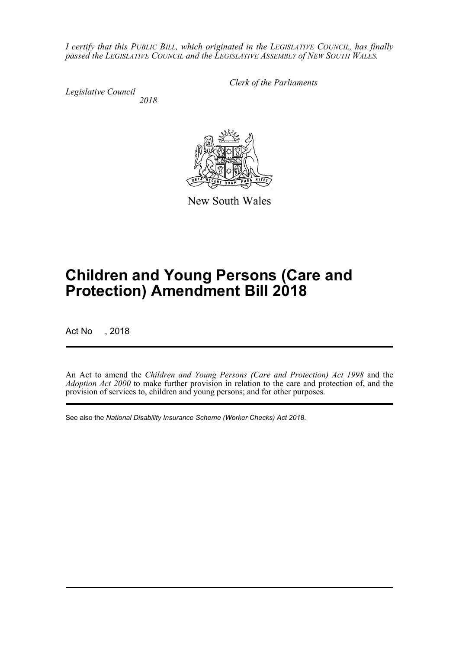*I certify that this PUBLIC BILL, which originated in the LEGISLATIVE COUNCIL, has finally passed the LEGISLATIVE COUNCIL and the LEGISLATIVE ASSEMBLY of NEW SOUTH WALES.*

*Legislative Council 2018* *Clerk of the Parliaments*

New South Wales

# **Children and Young Persons (Care and Protection) Amendment Bill 2018**

Act No , 2018

An Act to amend the *Children and Young Persons (Care and Protection) Act 1998* and the *Adoption Act 2000* to make further provision in relation to the care and protection of, and the provision of services to, children and young persons; and for other purposes.

See also the *National Disability Insurance Scheme (Worker Checks) Act 2018*.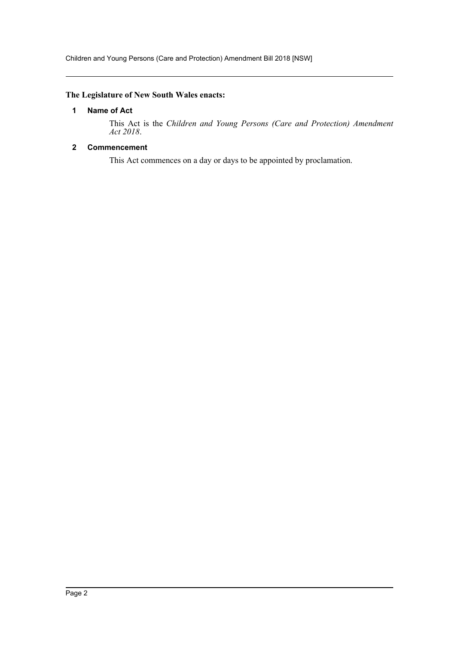# <span id="page-2-0"></span>**The Legislature of New South Wales enacts:**

# **1 Name of Act**

This Act is the *Children and Young Persons (Care and Protection) Amendment Act 2018*.

# <span id="page-2-1"></span>**2 Commencement**

This Act commences on a day or days to be appointed by proclamation.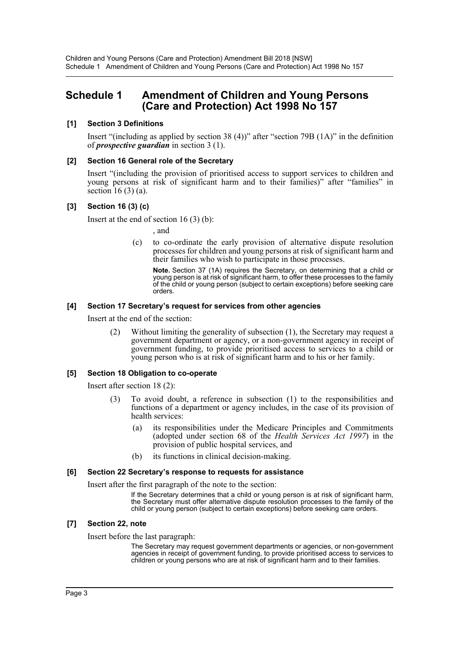# <span id="page-3-0"></span>**Schedule 1 Amendment of Children and Young Persons (Care and Protection) Act 1998 No 157**

# **[1] Section 3 Definitions**

Insert "(including as applied by section 38 (4))" after "section 79B (1A)" in the definition of *prospective guardian* in section 3 (1).

# **[2] Section 16 General role of the Secretary**

Insert "(including the provision of prioritised access to support services to children and young persons at risk of significant harm and to their families)" after "families" in section  $16(3)$  (a).

# **[3] Section 16 (3) (c)**

Insert at the end of section 16 (3) (b):

, and

(c) to co-ordinate the early provision of alternative dispute resolution processes for children and young persons at risk of significant harm and their families who wish to participate in those processes.

**Note.** Section 37 (1A) requires the Secretary, on determining that a child or young person is at risk of significant harm, to offer these processes to the family of the child or young person (subject to certain exceptions) before seeking care orders.

# **[4] Section 17 Secretary's request for services from other agencies**

Insert at the end of the section:

(2) Without limiting the generality of subsection (1), the Secretary may request a government department or agency, or a non-government agency in receipt of government funding, to provide prioritised access to services to a child or young person who is at risk of significant harm and to his or her family.

# **[5] Section 18 Obligation to co-operate**

Insert after section 18 (2):

- (3) To avoid doubt, a reference in subsection (1) to the responsibilities and functions of a department or agency includes, in the case of its provision of health services:
	- (a) its responsibilities under the Medicare Principles and Commitments (adopted under section 68 of the *Health Services Act 1997*) in the provision of public hospital services, and
	- (b) its functions in clinical decision-making.

# **[6] Section 22 Secretary's response to requests for assistance**

Insert after the first paragraph of the note to the section:

If the Secretary determines that a child or young person is at risk of significant harm, the Secretary must offer alternative dispute resolution processes to the family of the child or young person (subject to certain exceptions) before seeking care orders.

# **[7] Section 22, note**

Insert before the last paragraph:

The Secretary may request government departments or agencies, or non-government agencies in receipt of government funding, to provide prioritised access to services to children or young persons who are at risk of significant harm and to their families.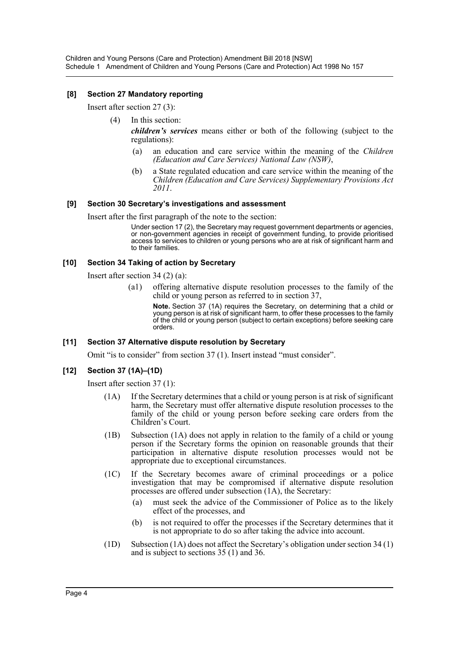# **[8] Section 27 Mandatory reporting**

Insert after section 27 (3):

- (4) In this section:
	- *children's services* means either or both of the following (subject to the regulations):
		- (a) an education and care service within the meaning of the *Children (Education and Care Services) National Law (NSW)*,
		- (b) a State regulated education and care service within the meaning of the *Children (Education and Care Services) Supplementary Provisions Act 2011*.

#### **[9] Section 30 Secretary's investigations and assessment**

Insert after the first paragraph of the note to the section:

Under section 17 (2), the Secretary may request government departments or agencies, or non-government agencies in receipt of government funding, to provide prioritised access to services to children or young persons who are at risk of significant harm and to their families.

#### **[10] Section 34 Taking of action by Secretary**

Insert after section 34 (2) (a):

(a1) offering alternative dispute resolution processes to the family of the child or young person as referred to in section 37,

**Note.** Section 37 (1A) requires the Secretary, on determining that a child or young person is at risk of significant harm, to offer these processes to the family of the child or young person (subject to certain exceptions) before seeking care orders.

#### **[11] Section 37 Alternative dispute resolution by Secretary**

Omit "is to consider" from section 37 (1). Insert instead "must consider".

# **[12] Section 37 (1A)–(1D)**

Insert after section 37 (1):

- (1A) If the Secretary determines that a child or young person is at risk of significant harm, the Secretary must offer alternative dispute resolution processes to the family of the child or young person before seeking care orders from the Children's Court.
- (1B) Subsection (1A) does not apply in relation to the family of a child or young person if the Secretary forms the opinion on reasonable grounds that their participation in alternative dispute resolution processes would not be appropriate due to exceptional circumstances.
- (1C) If the Secretary becomes aware of criminal proceedings or a police investigation that may be compromised if alternative dispute resolution processes are offered under subsection (1A), the Secretary:
	- (a) must seek the advice of the Commissioner of Police as to the likely effect of the processes, and
	- (b) is not required to offer the processes if the Secretary determines that it is not appropriate to do so after taking the advice into account.
- (1D) Subsection (1A) does not affect the Secretary's obligation under section 34 (1) and is subject to sections 35 (1) and 36.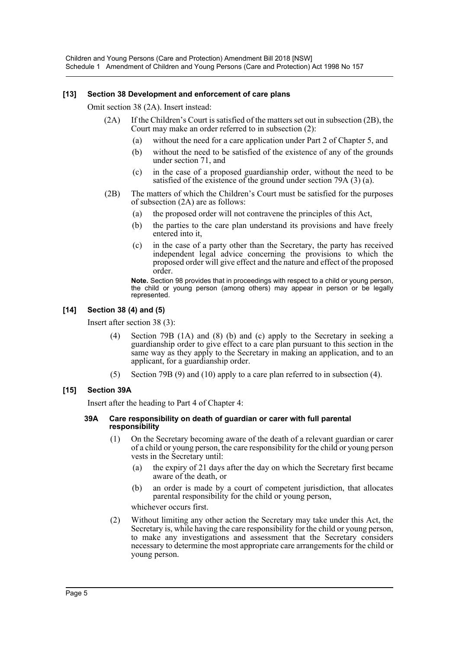# **[13] Section 38 Development and enforcement of care plans**

Omit section 38 (2A). Insert instead:

- (2A) If the Children's Court is satisfied of the matters set out in subsection (2B), the Court may make an order referred to in subsection (2):
	- (a) without the need for a care application under Part 2 of Chapter 5, and
	- (b) without the need to be satisfied of the existence of any of the grounds under section 71, and
	- (c) in the case of a proposed guardianship order, without the need to be satisfied of the existence of the ground under section 79A (3) (a).
- (2B) The matters of which the Children's Court must be satisfied for the purposes of subsection (2A) are as follows:
	- (a) the proposed order will not contravene the principles of this Act,
	- (b) the parties to the care plan understand its provisions and have freely entered into it,
	- (c) in the case of a party other than the Secretary, the party has received independent legal advice concerning the provisions to which the proposed order will give effect and the nature and effect of the proposed order.

**Note.** Section 98 provides that in proceedings with respect to a child or young person, the child or young person (among others) may appear in person or be legally represented.

# **[14] Section 38 (4) and (5)**

Insert after section 38 (3):

- Section 79B (1A) and (8) (b) and (c) apply to the Secretary in seeking a guardianship order to give effect to a care plan pursuant to this section in the same way as they apply to the Secretary in making an application, and to an applicant, for a guardianship order.
- (5) Section 79B (9) and (10) apply to a care plan referred to in subsection (4).

# **[15] Section 39A**

Insert after the heading to Part 4 of Chapter 4:

#### **39A Care responsibility on death of guardian or carer with full parental responsibility**

- (1) On the Secretary becoming aware of the death of a relevant guardian or carer of a child or young person, the care responsibility for the child or young person vests in the Secretary until:
	- (a) the expiry of 21 days after the day on which the Secretary first became aware of the death, or
	- (b) an order is made by a court of competent jurisdiction, that allocates parental responsibility for the child or young person,

whichever occurs first.

(2) Without limiting any other action the Secretary may take under this Act, the Secretary is, while having the care responsibility for the child or young person, to make any investigations and assessment that the Secretary considers necessary to determine the most appropriate care arrangements for the child or young person.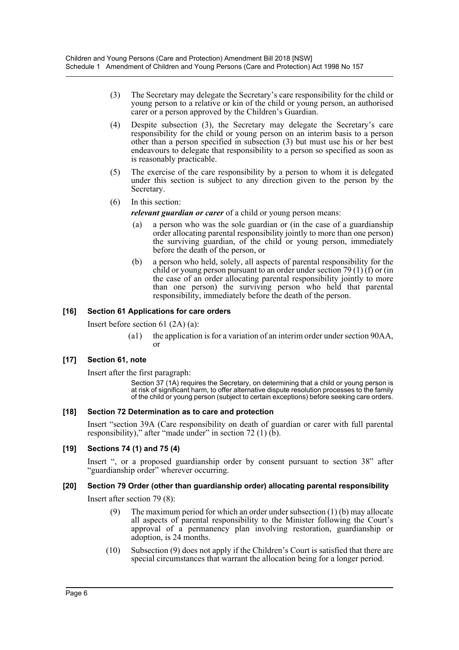- (3) The Secretary may delegate the Secretary's care responsibility for the child or young person to a relative or kin of the child or young person, an authorised carer or a person approved by the Children's Guardian.
- (4) Despite subsection (3), the Secretary may delegate the Secretary's care responsibility for the child or young person on an interim basis to a person other than a person specified in subsection (3) but must use his or her best endeavours to delegate that responsibility to a person so specified as soon as is reasonably practicable.
- (5) The exercise of the care responsibility by a person to whom it is delegated under this section is subject to any direction given to the person by the Secretary.
- (6) In this section:
	- *relevant guardian or carer* of a child or young person means:
	- (a) a person who was the sole guardian or (in the case of a guardianship order allocating parental responsibility jointly to more than one person) the surviving guardian, of the child or young person, immediately before the death of the person, or
	- (b) a person who held, solely, all aspects of parental responsibility for the child or young person pursuant to an order under section 79 (1) (f) or (in the case of an order allocating parental responsibility jointly to more than one person) the surviving person who held that parental responsibility, immediately before the death of the person.

# **[16] Section 61 Applications for care orders**

Insert before section 61 (2A) (a):

(a1) the application is for a variation of an interim order under section 90AA, or

# **[17] Section 61, note**

Insert after the first paragraph:

Section 37 (1A) requires the Secretary, on determining that a child or young person is at risk of significant harm, to offer alternative dispute resolution processes to the family of the child or young person (subject to certain exceptions) before seeking care orders.

# **[18] Section 72 Determination as to care and protection**

Insert "section 39A (Care responsibility on death of guardian or carer with full parental responsibility)," after "made under" in section 72 (1) (b).

# **[19] Sections 74 (1) and 75 (4)**

Insert ", or a proposed guardianship order by consent pursuant to section 38" after "guardianship order" wherever occurring.

# **[20] Section 79 Order (other than guardianship order) allocating parental responsibility**

Insert after section 79 (8):

- (9) The maximum period for which an order under subsection (1) (b) may allocate all aspects of parental responsibility to the Minister following the Court's approval of a permanency plan involving restoration, guardianship or adoption, is 24 months.
- (10) Subsection (9) does not apply if the Children's Court is satisfied that there are special circumstances that warrant the allocation being for a longer period.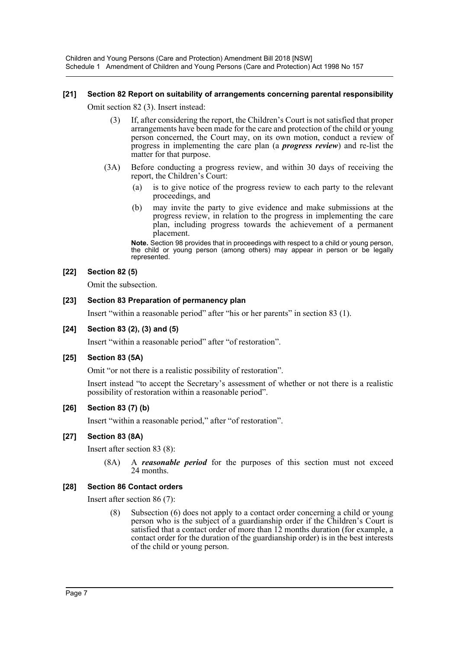Children and Young Persons (Care and Protection) Amendment Bill 2018 [NSW] Schedule 1 Amendment of Children and Young Persons (Care and Protection) Act 1998 No 157

# **[21] Section 82 Report on suitability of arrangements concerning parental responsibility**

Omit section 82 (3). Insert instead:

- (3) If, after considering the report, the Children's Court is not satisfied that proper arrangements have been made for the care and protection of the child or young person concerned, the Court may, on its own motion, conduct a review of progress in implementing the care plan (a *progress review*) and re-list the matter for that purpose.
- (3A) Before conducting a progress review, and within 30 days of receiving the report, the Children's Court:
	- (a) is to give notice of the progress review to each party to the relevant proceedings, and
	- (b) may invite the party to give evidence and make submissions at the progress review, in relation to the progress in implementing the care plan, including progress towards the achievement of a permanent placement.

**Note.** Section 98 provides that in proceedings with respect to a child or young person, the child or young person (among others) may appear in person or be legally represented.

# **[22] Section 82 (5)**

Omit the subsection.

# **[23] Section 83 Preparation of permanency plan**

Insert "within a reasonable period" after "his or her parents" in section 83 (1).

# **[24] Section 83 (2), (3) and (5)**

Insert "within a reasonable period" after "of restoration".

# **[25] Section 83 (5A)**

Omit "or not there is a realistic possibility of restoration".

Insert instead "to accept the Secretary's assessment of whether or not there is a realistic possibility of restoration within a reasonable period".

# **[26] Section 83 (7) (b)**

Insert "within a reasonable period," after "of restoration".

# **[27] Section 83 (8A)**

Insert after section 83 (8):

(8A) A *reasonable period* for the purposes of this section must not exceed 24 months.

# **[28] Section 86 Contact orders**

Insert after section 86 (7):

(8) Subsection (6) does not apply to a contact order concerning a child or young person who is the subject of a guardianship order if the Children's Court is satisfied that a contact order of more than 12 months duration (for example, a contact order for the duration of the guardianship order) is in the best interests of the child or young person.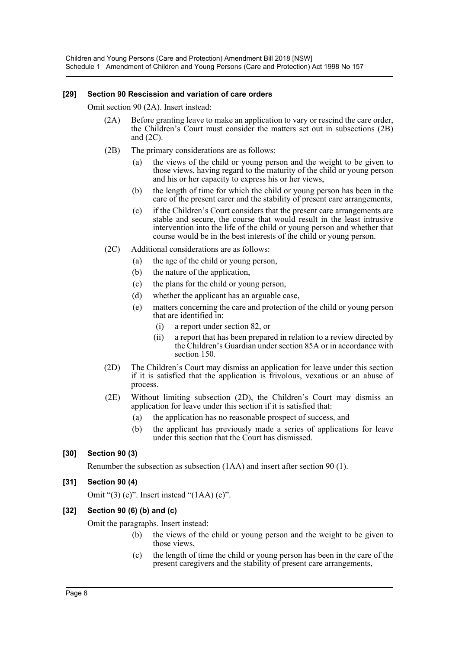# **[29] Section 90 Rescission and variation of care orders**

Omit section 90 (2A). Insert instead:

- (2A) Before granting leave to make an application to vary or rescind the care order, the Children's Court must consider the matters set out in subsections (2B) and (2C).
- (2B) The primary considerations are as follows:
	- the views of the child or young person and the weight to be given to those views, having regard to the maturity of the child or young person and his or her capacity to express his or her views,
	- (b) the length of time for which the child or young person has been in the care of the present carer and the stability of present care arrangements,
	- (c) if the Children's Court considers that the present care arrangements are stable and secure, the course that would result in the least intrusive intervention into the life of the child or young person and whether that course would be in the best interests of the child or young person.
- (2C) Additional considerations are as follows:
	- (a) the age of the child or young person,
	- (b) the nature of the application,
	- (c) the plans for the child or young person,
	- (d) whether the applicant has an arguable case,
	- (e) matters concerning the care and protection of the child or young person that are identified in:
		- (i) a report under section 82, or
		- (ii) a report that has been prepared in relation to a review directed by the Children's Guardian under section 85A or in accordance with section 150.
- (2D) The Children's Court may dismiss an application for leave under this section if it is satisfied that the application is frivolous, vexatious or an abuse of process.
- (2E) Without limiting subsection (2D), the Children's Court may dismiss an application for leave under this section if it is satisfied that:
	- (a) the application has no reasonable prospect of success, and
	- (b) the applicant has previously made a series of applications for leave under this section that the Court has dismissed.

# **[30] Section 90 (3)**

Renumber the subsection as subsection (1AA) and insert after section 90 (1).

# **[31] Section 90 (4)**

Omit "(3) (e)". Insert instead "(1AA) (e)".

# **[32] Section 90 (6) (b) and (c)**

Omit the paragraphs. Insert instead:

- (b) the views of the child or young person and the weight to be given to those views,
- (c) the length of time the child or young person has been in the care of the present caregivers and the stability of present care arrangements,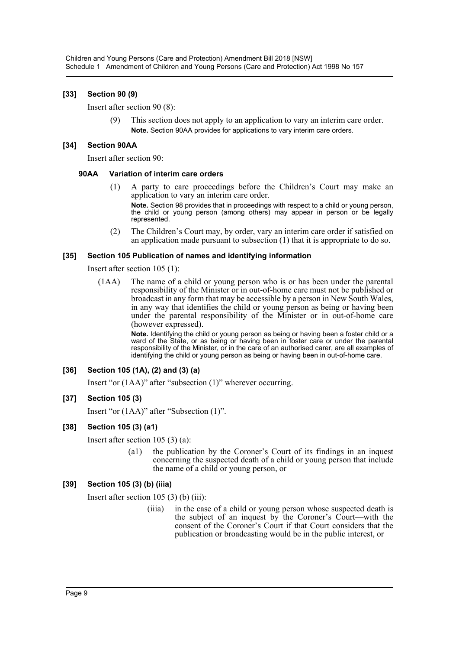# **[33] Section 90 (9)**

Insert after section 90 (8):

(9) This section does not apply to an application to vary an interim care order. **Note.** Section 90AA provides for applications to vary interim care orders.

# **[34] Section 90AA**

Insert after section 90:

# **90AA Variation of interim care orders**

- (1) A party to care proceedings before the Children's Court may make an application to vary an interim care order. **Note.** Section 98 provides that in proceedings with respect to a child or young person, the child or young person (among others) may appear in person or be legally represented.
- (2) The Children's Court may, by order, vary an interim care order if satisfied on an application made pursuant to subsection (1) that it is appropriate to do so.

# **[35] Section 105 Publication of names and identifying information**

Insert after section 105 (1):

(1AA) The name of a child or young person who is or has been under the parental responsibility of the Minister or in out-of-home care must not be published or broadcast in any form that may be accessible by a person in New South Wales, in any way that identifies the child or young person as being or having been under the parental responsibility of the Minister or in out-of-home care (however expressed).

> **Note.** Identifying the child or young person as being or having been a foster child or a ward of the State, or as being or having been in foster care or under the parental responsibility of the Minister, or in the care of an authorised carer, are all examples of identifying the child or young person as being or having been in out-of-home care.

# **[36] Section 105 (1A), (2) and (3) (a)**

Insert "or (1AA)" after "subsection (1)" wherever occurring.

# **[37] Section 105 (3)**

Insert "or (1AA)" after "Subsection (1)".

# **[38] Section 105 (3) (a1)**

Insert after section 105 (3) (a):

(a1) the publication by the Coroner's Court of its findings in an inquest concerning the suspected death of a child or young person that include the name of a child or young person, or

# **[39] Section 105 (3) (b) (iiia)**

Insert after section 105 (3) (b) (iii):

(iiia) in the case of a child or young person whose suspected death is the subject of an inquest by the Coroner's Court—with the consent of the Coroner's Court if that Court considers that the publication or broadcasting would be in the public interest, or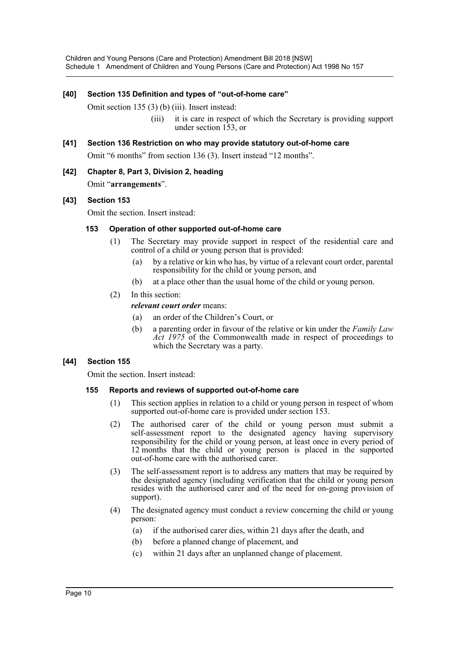# **[40] Section 135 Definition and types of "out-of-home care"**

Omit section 135 (3) (b) (iii). Insert instead:

(iii) it is care in respect of which the Secretary is providing support under section 153, or

# **[41] Section 136 Restriction on who may provide statutory out-of-home care**

Omit "6 months" from section 136 (3). Insert instead "12 months".

**[42] Chapter 8, Part 3, Division 2, heading** Omit "**arrangements**".

# **[43] Section 153**

Omit the section. Insert instead:

# **153 Operation of other supported out-of-home care**

- (1) The Secretary may provide support in respect of the residential care and control of a child or young person that is provided:
	- (a) by a relative or kin who has, by virtue of a relevant court order, parental responsibility for the child or young person, and
	- (b) at a place other than the usual home of the child or young person.
- (2) In this section:

*relevant court order* means:

- (a) an order of the Children's Court, or
- (b) a parenting order in favour of the relative or kin under the *Family Law Act 1975* of the Commonwealth made in respect of proceedings to which the Secretary was a party.

# **[44] Section 155**

Omit the section. Insert instead:

# **155 Reports and reviews of supported out-of-home care**

- (1) This section applies in relation to a child or young person in respect of whom supported out-of-home care is provided under section 153.
- (2) The authorised carer of the child or young person must submit a self-assessment report to the designated agency having supervisory responsibility for the child or young person, at least once in every period of 12 months that the child or young person is placed in the supported out-of-home care with the authorised carer.
- (3) The self-assessment report is to address any matters that may be required by the designated agency (including verification that the child or young person resides with the authorised carer and of the need for on-going provision of support).
- (4) The designated agency must conduct a review concerning the child or young person:
	- (a) if the authorised carer dies, within 21 days after the death, and
	- (b) before a planned change of placement, and
	- (c) within 21 days after an unplanned change of placement.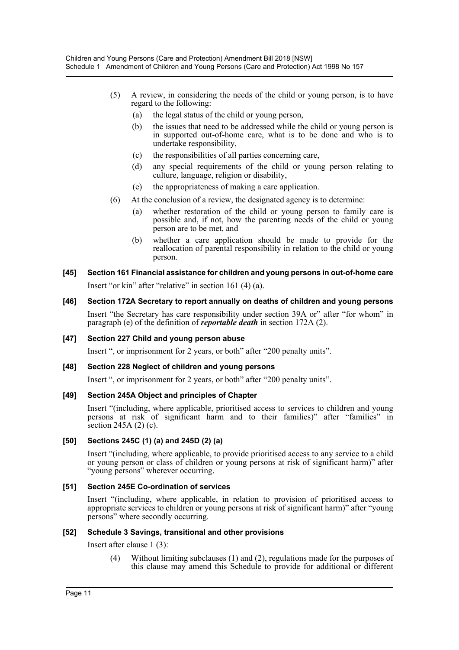- (5) A review, in considering the needs of the child or young person, is to have regard to the following:
	- (a) the legal status of the child or young person,
	- (b) the issues that need to be addressed while the child or young person is in supported out-of-home care, what is to be done and who is to undertake responsibility,
	- (c) the responsibilities of all parties concerning care,
	- (d) any special requirements of the child or young person relating to culture, language, religion or disability,
	- (e) the appropriateness of making a care application.
- (6) At the conclusion of a review, the designated agency is to determine:
	- (a) whether restoration of the child or young person to family care is possible and, if not, how the parenting needs of the child or young person are to be met, and
	- (b) whether a care application should be made to provide for the reallocation of parental responsibility in relation to the child or young person.
- **[45] Section 161 Financial assistance for children and young persons in out-of-home care** Insert "or kin" after "relative" in section 161 (4) (a).
- **[46] Section 172A Secretary to report annually on deaths of children and young persons** Insert "the Secretary has care responsibility under section 39A or" after "for whom" in paragraph (e) of the definition of *reportable death* in section 172A (2).

# **[47] Section 227 Child and young person abuse**

Insert ", or imprisonment for 2 years, or both" after "200 penalty units".

# **[48] Section 228 Neglect of children and young persons**

Insert ", or imprisonment for 2 years, or both" after "200 penalty units".

# **[49] Section 245A Object and principles of Chapter**

Insert "(including, where applicable, prioritised access to services to children and young persons at risk of significant harm and to their families)" after "families" in section 245A (2) (c).

# **[50] Sections 245C (1) (a) and 245D (2) (a)**

Insert "(including, where applicable, to provide prioritised access to any service to a child or young person or class of children or young persons at risk of significant harm)" after "young persons" wherever occurring.

# **[51] Section 245E Co-ordination of services**

Insert "(including, where applicable, in relation to provision of prioritised access to appropriate services to children or young persons at risk of significant harm)" after "young persons" where secondly occurring.

# **[52] Schedule 3 Savings, transitional and other provisions**

Insert after clause 1 (3):

(4) Without limiting subclauses (1) and (2), regulations made for the purposes of this clause may amend this Schedule to provide for additional or different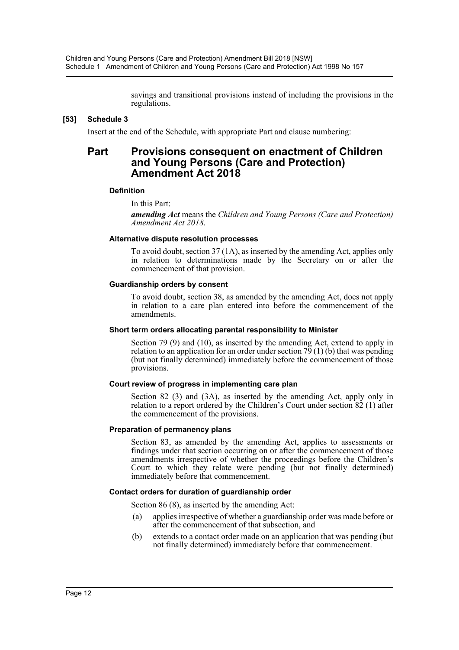savings and transitional provisions instead of including the provisions in the regulations.

# **[53] Schedule 3**

Insert at the end of the Schedule, with appropriate Part and clause numbering:

# **Part Provisions consequent on enactment of Children and Young Persons (Care and Protection) Amendment Act 2018**

#### **Definition**

In this Part:

*amending Act* means the *Children and Young Persons (Care and Protection) Amendment Act 2018*.

#### **Alternative dispute resolution processes**

To avoid doubt, section 37 (1A), as inserted by the amending Act, applies only in relation to determinations made by the Secretary on or after the commencement of that provision.

#### **Guardianship orders by consent**

To avoid doubt, section 38, as amended by the amending Act, does not apply in relation to a care plan entered into before the commencement of the amendments.

#### **Short term orders allocating parental responsibility to Minister**

Section 79 (9) and (10), as inserted by the amending Act, extend to apply in relation to an application for an order under section  $7\overline{9}$  (1) (b) that was pending (but not finally determined) immediately before the commencement of those provisions.

# **Court review of progress in implementing care plan**

Section 82 (3) and (3A), as inserted by the amending Act, apply only in relation to a report ordered by the Children's Court under section 82 (1) after the commencement of the provisions.

# **Preparation of permanency plans**

Section 83, as amended by the amending Act, applies to assessments or findings under that section occurring on or after the commencement of those amendments irrespective of whether the proceedings before the Children's Court to which they relate were pending (but not finally determined) immediately before that commencement.

# **Contact orders for duration of guardianship order**

Section 86 (8), as inserted by the amending Act:

- (a) applies irrespective of whether a guardianship order was made before or after the commencement of that subsection, and
- (b) extends to a contact order made on an application that was pending (but not finally determined) immediately before that commencement.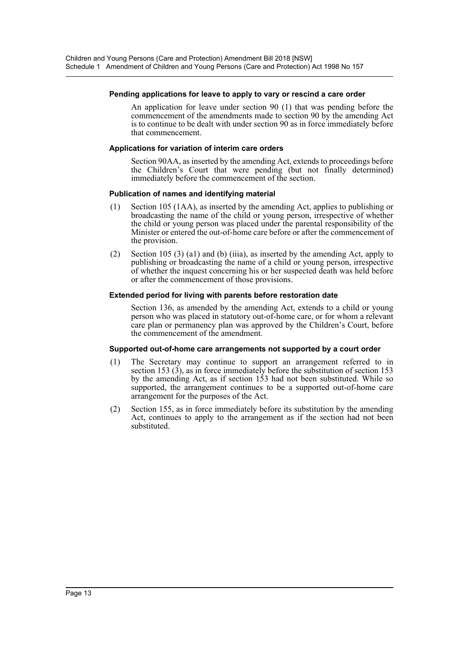#### **Pending applications for leave to apply to vary or rescind a care order**

An application for leave under section 90 (1) that was pending before the commencement of the amendments made to section 90 by the amending Act is to continue to be dealt with under section 90 as in force immediately before that commencement.

#### **Applications for variation of interim care orders**

Section 90AA, as inserted by the amending Act, extends to proceedings before the Children's Court that were pending (but not finally determined) immediately before the commencement of the section.

#### **Publication of names and identifying material**

- (1) Section 105 (1AA), as inserted by the amending Act, applies to publishing or broadcasting the name of the child or young person, irrespective of whether the child or young person was placed under the parental responsibility of the Minister or entered the out-of-home care before or after the commencement of the provision.
- (2) Section 105 (3) (a1) and (b) (iiia), as inserted by the amending Act, apply to publishing or broadcasting the name of a child or young person, irrespective of whether the inquest concerning his or her suspected death was held before or after the commencement of those provisions.

#### **Extended period for living with parents before restoration date**

Section 136, as amended by the amending Act, extends to a child or young person who was placed in statutory out-of-home care, or for whom a relevant care plan or permanency plan was approved by the Children's Court, before the commencement of the amendment.

#### **Supported out-of-home care arrangements not supported by a court order**

- (1) The Secretary may continue to support an arrangement referred to in section 153  $(3)$ , as in force immediately before the substitution of section 153 by the amending Act, as if section 153 had not been substituted. While so supported, the arrangement continues to be a supported out-of-home care arrangement for the purposes of the Act.
- (2) Section 155, as in force immediately before its substitution by the amending Act, continues to apply to the arrangement as if the section had not been substituted.